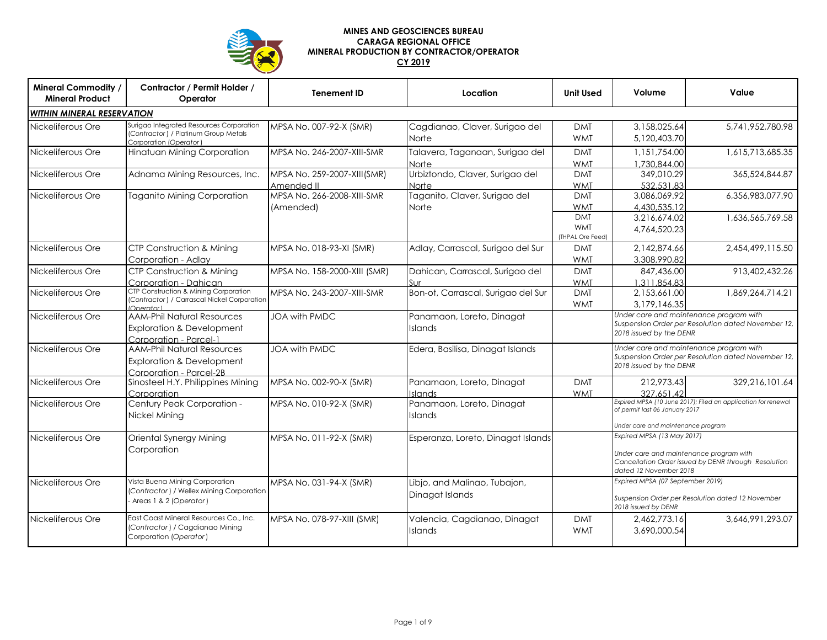

## **MINES AND GEOSCIENCES BUREAU CARAGA REGIONAL OFFICE MINERAL PRODUCTION BY CONTRACTOR/OPERATOR CY 2019**

| <b>Mineral Commodity /</b><br><b>Mineral Product</b> | Contractor / Permit Holder /<br>Operator                                                                   | <b>Tenement ID</b>                        | Location                                        | <b>Unit Used</b>                             | Volume                                                                                                                                                  | Value                                                                                         |  |
|------------------------------------------------------|------------------------------------------------------------------------------------------------------------|-------------------------------------------|-------------------------------------------------|----------------------------------------------|---------------------------------------------------------------------------------------------------------------------------------------------------------|-----------------------------------------------------------------------------------------------|--|
| <b>WITHIN MINERAL RESERVATION</b>                    |                                                                                                            |                                           |                                                 |                                              |                                                                                                                                                         |                                                                                               |  |
| Nickeliferous Ore                                    | Surigao Integrated Resources Corporation<br>(Contractor) / Platinum Group Metals<br>Corporation (Operator) | MPSA No. 007-92-X (SMR)                   | Cagdianao, Claver, Surigao del<br>Norte         | <b>DMT</b><br><b>WMT</b>                     | 3,158,025.64<br>5,120,403.70                                                                                                                            | 5,741,952,780.98                                                                              |  |
| Nickeliferous Ore                                    | Hinatuan Mining Corporation                                                                                | MPSA No. 246-2007-XIII-SMR                | Talavera, Taganaan, Surigao del<br><b>Norte</b> | <b>DMT</b><br><b>WMT</b>                     | 1,151,754.00<br>1.730.844.00                                                                                                                            | 1,615,713,685.35                                                                              |  |
| Nickeliferous Ore                                    | Adnama Mining Resources, Inc.                                                                              | MPSA No. 259-2007-XIII(SMR)<br>Amended II | Urbiztondo, Claver, Surigao del<br><b>Norte</b> | <b>DMT</b><br><b>WMT</b>                     | 349,010.29<br>532.531.83                                                                                                                                | 365,524,844.87                                                                                |  |
| Nickeliferous Ore                                    | <b>Taganito Mining Corporation</b>                                                                         | MPSA No. 266-2008-XIII-SMR<br>(Amended)   | Taganito, Claver, Surigao del<br>Norte          | <b>DMT</b><br><b>WMT</b>                     | 3,086,069.92<br>4.430.535.12                                                                                                                            | 6,356,983,077.90                                                                              |  |
|                                                      |                                                                                                            |                                           |                                                 | <b>DMT</b><br><b>WMT</b><br>(THPAL Ore Feed) | 3.216.674.02<br>4.764.520.23                                                                                                                            | 1,636,565,769.58                                                                              |  |
| Nickeliferous Ore                                    | <b>CTP Construction &amp; Mining</b><br>Corporation - Adlay                                                | MPSA No. 018-93-XI (SMR)                  | Adlay, Carrascal, Surigao del Sur               | <b>DMT</b><br><b>WMT</b>                     | 2,142,874.66<br>3,308,990.82                                                                                                                            | 2,454,499,115.50                                                                              |  |
| Nickeliferous Ore                                    | <b>CTP Construction &amp; Mining</b><br>Corporation - Dahican                                              | MPSA No. 158-2000-XIII (SMR)              | Dahican, Carrascal, Surigao del<br>Sur          | <b>DMT</b><br><b>WMT</b>                     | 847,436.00<br>1.311.854.83                                                                                                                              | 913,402,432.26                                                                                |  |
| Nickeliferous Ore                                    | CTP Construction & Mining Corporation<br>(Contractor) / Carrascal Nickel Corporation<br>Onarator           | MPSA No. 243-2007-XIII-SMR                | Bon-ot, Carrascal, Surigao del Sur              | <b>DMT</b><br><b>WMT</b>                     | 2,153,661.00<br>3,179,146.35                                                                                                                            | 1,869,264,714.21                                                                              |  |
| Nickeliferous Ore                                    | <b>AAM-Phil Natural Resources</b><br><b>Exploration &amp; Development</b><br>Corporation - Parcel-1        | <b>JOA with PMDC</b>                      | Panamaon, Loreto, Dinagat<br><b>Islands</b>     |                                              | Under care and maintenance program with<br>Suspension Order per Resolution dated November 12,<br>2018 issued by the DENR                                |                                                                                               |  |
| Nickeliferous Ore                                    | <b>AAM-Phil Natural Resources</b><br><b>Exploration &amp; Development</b><br>Corporation - Parcel-2B       | JOA with PMDC                             | Edera, Basilisa, Dinagat Islands                |                                              | 2018 issued by the DENR                                                                                                                                 | Under care and maintenance program with<br>Suspension Order per Resolution dated November 12, |  |
| Nickeliferous Ore                                    | Sinosteel H.Y. Philippines Mining<br>Corporation                                                           | MPSA No. 002-90-X (SMR)                   | Panamaon, Loreto, Dinagat<br><b>Islands</b>     | <b>DMT</b><br><b>WMT</b>                     | 212.973.43<br>327.651.42                                                                                                                                | 329.216.101.64                                                                                |  |
| Nickeliferous Ore                                    | Century Peak Corporation -<br>Nickel Mining                                                                | MPSA No. 010-92-X (SMR)                   | Panamaon, Loreto, Dinagat<br><b>Islands</b>     |                                              | Expired MPSA (10 June 2017); Filed an application for renewal<br>of permit last 06 January 2017<br>Under care and maintenance program                   |                                                                                               |  |
| Nickeliferous Ore                                    | Oriental Synergy Mining<br>Corporation                                                                     | MPSA No. 011-92-X (SMR)                   | Esperanza, Loreto, Dinagat Islands              |                                              | Expired MPSA (13 May 2017)<br>Under care and maintenance program with<br>Cancellation Order issued by DENR through Resolution<br>dated 12 November 2018 |                                                                                               |  |
| Nickeliferous Ore                                    | Vista Buena Mining Corporation<br>(Contractor) / Wellex Mining Corporation<br>- Areas 1 & 2 (Operator)     | MPSA No. 031-94-X (SMR)                   | Libjo, and Malinao, Tubajon,<br>Dinagat Islands |                                              | Expired MPSA (07 September 2019)<br>Suspension Order per Resolution dated 12 November<br>2018 issued by DENR                                            |                                                                                               |  |
| Nickeliferous Ore                                    | East Coast Mineral Resources Co., Inc.<br>(Contractor) / Cagdianao Mining<br>Corporation (Operator)        | MPSA No. 078-97-XIII (SMR)                | Valencia, Cagdianao, Dinagat<br><b>Islands</b>  | <b>DMT</b><br><b>WMT</b>                     | 2.462.773.16<br>3,690,000.54                                                                                                                            | 3.646.991.293.07                                                                              |  |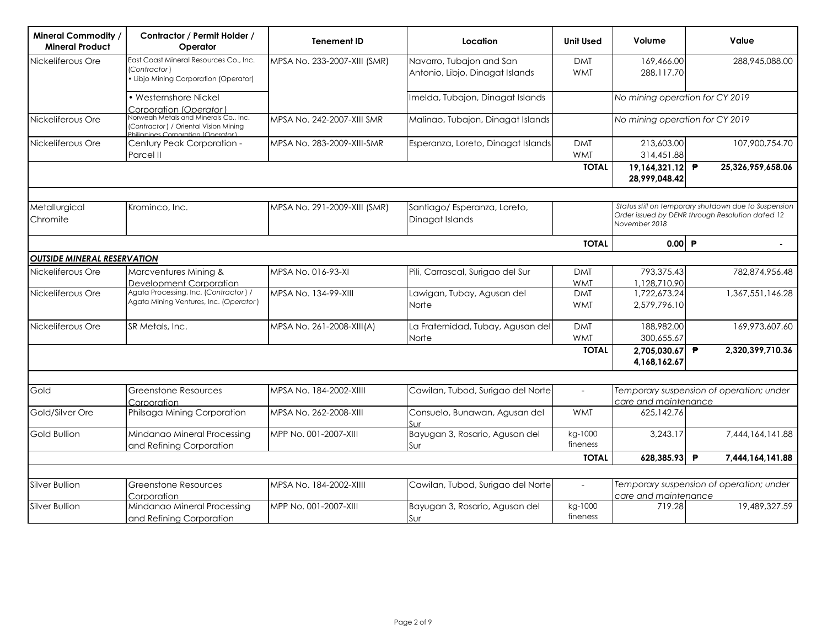| <b>Mineral Commodity</b><br><b>Mineral Product</b> | Contractor / Permit Holder /<br>Operator                                                                             | <b>Tenement ID</b>           | Location                                                    | <b>Unit Used</b>         | Volume                           | Value                                                                                                    |
|----------------------------------------------------|----------------------------------------------------------------------------------------------------------------------|------------------------------|-------------------------------------------------------------|--------------------------|----------------------------------|----------------------------------------------------------------------------------------------------------|
| Nickeliferous Ore                                  | East Coast Mineral Resources Co., Inc.<br>(Contractor)<br>Libjo Mining Corporation (Operator)                        | MPSA No. 233-2007-XIII (SMR) | Navarro, Tubajon and San<br>Antonio, Libjo, Dinagat Islands | <b>DMT</b><br><b>WMT</b> | 169,466.00<br>288,117.70         | 288,945,088.00                                                                                           |
|                                                    | • Westernshore Nickel<br>Corporation (Operator )                                                                     |                              | Imelda, Tubajon, Dinagat Islands                            |                          | No mining operation for CY 2019  |                                                                                                          |
| Nickeliferous Ore                                  | Norweah Metals and Minerals Co., Inc.<br>(Contractor) / Oriental Vision Mining<br>Philippines Corporation (Operator) | MPSA No. 242-2007-XIII SMR   | Malinao, Tubajon, Dinagat Islands                           |                          | No mining operation for CY 2019  |                                                                                                          |
| Nickeliferous Ore                                  | Century Peak Corporation -<br>Parcel II                                                                              | MPSA No. 283-2009-XIII-SMR   | Esperanza, Loreto, Dinagat Islands                          | <b>DMT</b><br><b>WMT</b> | 213,603.00<br>314,451.88         | 107,900,754.70                                                                                           |
|                                                    |                                                                                                                      |                              |                                                             | <b>TOTAL</b>             | 19,164,321.12 ₱<br>28,999,048.42 | 25,326,959,658.06                                                                                        |
| Metallurgical<br>Chromite                          | Krominco, Inc.                                                                                                       | MPSA No. 291-2009-XIII (SMR) | Santiago/ Esperanza, Loreto,<br>Dinagat Islands             |                          | November 2018                    | Status still on temporary shutdown due to Suspension<br>Order issued by DENR through Resolution dated 12 |
|                                                    |                                                                                                                      |                              |                                                             | <b>TOTAL</b>             | 0.00                             |                                                                                                          |
| OUTSIDE MINERAL RESERVATION                        |                                                                                                                      |                              |                                                             |                          |                                  |                                                                                                          |
| Nickeliferous Ore                                  | Marcventures Mining &<br>Development Corporation                                                                     | MPSA No. 016-93-XI           | Pili, Carrascal, Surigao del Sur                            | <b>DMT</b><br><b>WMT</b> | 793,375.43<br>1,128,710.90       | 782.874.956.48                                                                                           |
| Nickeliferous Ore                                  | Agata Processing, Inc. (Contractor) /<br>Agata Mining Ventures, Inc. (Operator)                                      | MPSA No. 134-99-XIII         | Lawigan, Tubay, Agusan del<br><b>Norte</b>                  | <b>DMT</b><br><b>WMT</b> | 1,722,673.24<br>2,579,796.10     | 1,367,551,146.28                                                                                         |
| Nickeliferous Ore                                  | SR Metals, Inc.                                                                                                      | MPSA No. 261-2008-XIII(A)    | La Fraternidad, Tubay, Agusan del<br>Norte                  | <b>DMT</b><br><b>WMT</b> | 188,982.00<br>300,655.67         | 169,973,607.60                                                                                           |
|                                                    |                                                                                                                      |                              |                                                             | <b>TOTAL</b>             | 2,705,030.67<br>4,168,162.67     | 2,320,399,710.36<br>₱                                                                                    |
|                                                    |                                                                                                                      |                              |                                                             |                          |                                  |                                                                                                          |
| Gold                                               | Greenstone Resources<br>Corporation                                                                                  | MPSA No. 184-2002-XIIII      | Cawilan, Tubod, Surigao del Norte                           | $\overline{a}$           | care and maintenance             | Temporary suspension of operation; under                                                                 |
| Gold/Silver Ore                                    | Philsaga Mining Corporation                                                                                          | MPSA No. 262-2008-XIII       | Consuelo, Bunawan, Agusan del<br>Sur                        | <b>WMT</b>               | 625,142.76                       |                                                                                                          |
| <b>Gold Bullion</b>                                | Mindanao Mineral Processing<br>and Refining Corporation                                                              | MPP No. 001-2007-XIII        | Bayugan 3, Rosario, Agusan del<br>Sur                       | kg-1000<br>fineness      | 3,243.17                         | 7,444,164,141.88                                                                                         |
|                                                    |                                                                                                                      |                              |                                                             | <b>TOTAL</b>             | 628,385.93                       | ₱<br>7,444,164,141.88                                                                                    |
|                                                    |                                                                                                                      |                              |                                                             |                          |                                  |                                                                                                          |
| Silver Bullion                                     | <b>Greenstone Resources</b><br>Corporation                                                                           | MPSA No. 184-2002-XIIII      | Cawilan, Tubod, Surigao del Norte                           | $\overline{a}$           | care and maintenance             | Temporary suspension of operation; under                                                                 |
| Silver Bullion                                     | Mindanao Mineral Processing<br>and Refining Corporation                                                              | MPP No. 001-2007-XIII        | Bayugan 3, Rosario, Agusan del<br>Sur                       | kg-1000<br>fineness      | 719.28                           | 19,489,327.59                                                                                            |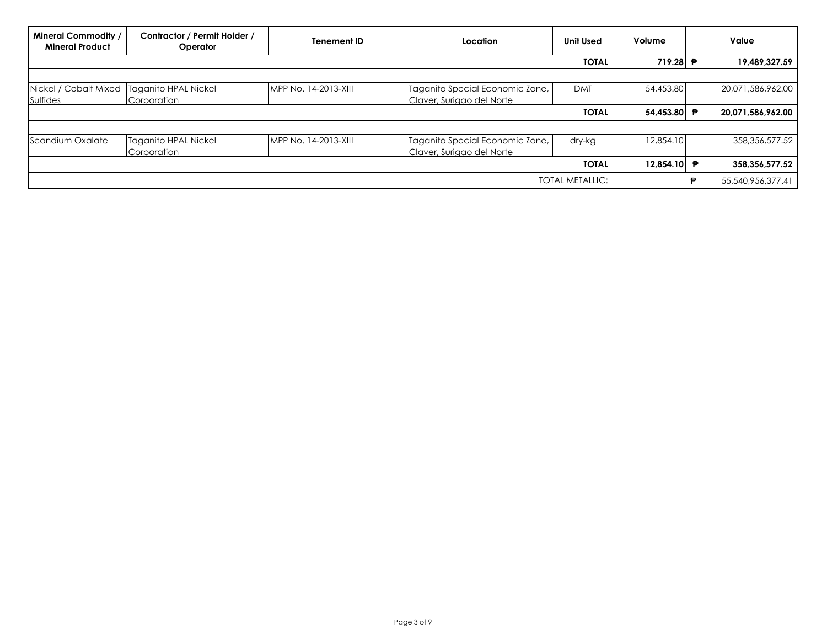| Mineral Commodity /<br><b>Mineral Product</b>          | Contractor / Permit Holder /<br>Operator | Tenement ID          | Location                                                     | <b>Unit Used</b> | Volume      |   | Value             |
|--------------------------------------------------------|------------------------------------------|----------------------|--------------------------------------------------------------|------------------|-------------|---|-------------------|
|                                                        |                                          |                      |                                                              | <b>TOTAL</b>     | 719.28 P    |   | 19,489,327.59     |
|                                                        |                                          |                      |                                                              |                  |             |   |                   |
| Nickel / Cobalt Mixed Taganito HPAL Nickel<br>Sulfides | Corporation                              | MPP No. 14-2013-XIII | Taganito Special Economic Zone,<br>Claver, Suriago del Norte | <b>DMT</b>       | 54,453.80   |   | 20,071,586,962.00 |
|                                                        |                                          |                      |                                                              | <b>TOTAL</b>     | 54,453.80 ₱ |   | 20,071,586,962.00 |
|                                                        |                                          |                      |                                                              |                  |             |   |                   |
| Scandium Oxalate                                       | Taganito HPAL Nickel<br>Corporation      | MPP No. 14-2013-XIII | Taganito Special Economic Zone,<br>Claver, Suriago del Norte | dry-kg           | 12,854.10   |   | 358,356,577.52    |
|                                                        |                                          |                      |                                                              | <b>TOTAL</b>     | 12.854.10 ₱ |   | 358,356,577.52    |
|                                                        | TOTAL METALLIC:                          |                      |                                                              |                  |             | € | 55,540,956,377.41 |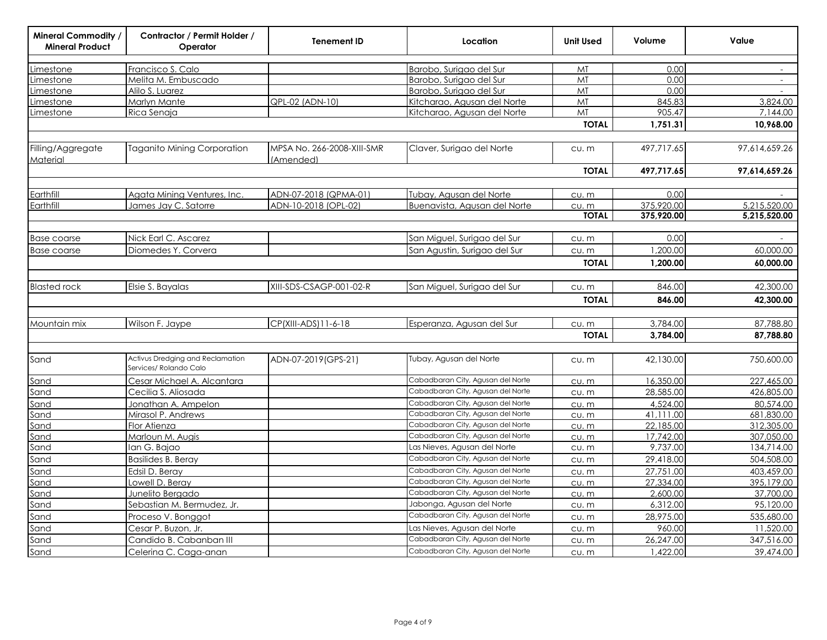| <b>Mineral Commodity /</b><br><b>Mineral Product</b> | Contractor / Permit Holder /<br>Operator                   | <b>Tenement ID</b>                      | Location                          | <b>Unit Used</b> | Volume     | Value                    |
|------------------------------------------------------|------------------------------------------------------------|-----------------------------------------|-----------------------------------|------------------|------------|--------------------------|
| Limestone                                            | Francisco S. Calo                                          |                                         | Barobo, Surigao del Sur           | MT               | 0.00       | $\overline{\phantom{a}}$ |
| Limestone                                            | Melita M. Embuscado                                        |                                         | Barobo, Surigao del Sur           | MT               | 0.00       | $\blacksquare$           |
| Limestone                                            | Alilo S. Luarez                                            |                                         | Barobo, Surigao del Sur           | MT               | 0.00       |                          |
| Limestone                                            | Marlyn Mante                                               | QPL-02 (ADN-10)                         | Kitcharao, Agusan del Norte       | MT               | 845.83     | 3,824.00                 |
| <u>Limestone</u>                                     | Rica Senaja                                                |                                         | Kitcharao, Agusan del Norte       | MT               | 905.47     | 7.144.00                 |
|                                                      |                                                            |                                         |                                   | <b>TOTAL</b>     | 1,751.31   | 10,968.00                |
| Filling/Aggregate<br>Material                        | <b>Taganito Mining Corporation</b>                         | MPSA No. 266-2008-XIII-SMR<br>(Amended) | Claver, Surigao del Norte         | cu. m            | 497,717.65 | 97,614,659.26            |
|                                                      |                                                            |                                         |                                   | <b>TOTAL</b>     | 497,717.65 | 97,614,659.26            |
| Earthfill                                            | Agata Mining Ventures, Inc.                                | ADN-07-2018 (QPMA-01)                   | Tubay, Agusan del Norte           | CU. m            | 0.00       |                          |
| Earthfill                                            | James Jay C. Satorre                                       | ADN-10-2018 (OPL-02)                    | Buenavista, Agusan del Norte      | CU. m            | 375,920.00 | 5,215,520.00             |
|                                                      |                                                            |                                         |                                   | <b>TOTAL</b>     | 375,920.00 | 5,215,520.00             |
| <b>Base coarse</b>                                   | Nick Earl C. Ascarez                                       |                                         | San Miguel, Surigao del Sur       | cu.m             | 0.00       |                          |
| <b>Base coarse</b>                                   | Diomedes Y. Corvera                                        |                                         | San Agustin, Surigao del Sur      | CU. m            | 1,200.00   | 60,000.00                |
|                                                      |                                                            |                                         |                                   | <b>TOTAL</b>     | 1,200.00   | 60,000.00                |
|                                                      |                                                            |                                         |                                   |                  |            |                          |
| <b>Blasted rock</b>                                  | Elsie S. Bayalas                                           | XIII-SDS-CSAGP-001-02-R                 | San Miguel, Surigao del Sur       | CU. m            | 846.00     | 42,300.00                |
|                                                      |                                                            |                                         |                                   | <b>TOTAL</b>     | 846.00     | 42,300.00                |
| Mountain mix                                         | Wilson F. Jaype                                            | CP(XIII-ADS)11-6-18                     | Esperanza, Agusan del Sur         | CU. M            | 3,784.00   | 87,788.80                |
|                                                      |                                                            |                                         |                                   | <b>TOTAL</b>     | 3,784.00   | 87,788.80                |
|                                                      |                                                            |                                         |                                   |                  |            |                          |
| Sand                                                 | Activus Dredging and Reclamation<br>Services/ Rolando Calo | ADN-07-2019(GPS-21)                     | Tubay, Agusan del Norte           | cu. m            | 42,130.00  | 750,600.00               |
| Sand                                                 | Cesar Michael A. Alcantara                                 |                                         | Cabadbaran City, Agusan del Norte | CU. M            | 16,350.00  | 227,465.00               |
| Sand                                                 | Cecilia S. Aliosada                                        |                                         | Cabadbaran City, Agusan del Norte | CU. m            | 28,585.00  | 426,805.00               |
| Sand                                                 | Jonathan A. Ampelon                                        |                                         | Cabadbaran City, Agusan del Norte | CU. m            | 4,524.00   | 80,574.00                |
| Sand                                                 | Mirasol P. Andrews                                         |                                         | Cabadbaran City, Agusan del Norte | CU. m            | 41,111.00  | 681,830.00               |
| Sand                                                 | Flor Atienza                                               |                                         | Cabadbaran City, Agusan del Norte | <u>cu. m</u>     | 22,185.00  | 312,305.00               |
| Sand                                                 | Marloun M. Augis                                           |                                         | Cabadbaran City, Agusan del Norte | cu.m             | 17,742.00  | 307,050.00               |
| Sand                                                 | Ian G. Bajao                                               |                                         | Las Nieves, Agusan del Norte      | CU. m            | 9,737.00   | 134,714.00               |
| Sand                                                 | <b>Basilides B. Beray</b>                                  |                                         | Cabadbaran City, Agusan del Norte | CU. m            | 29,418.00  | 504,508.00               |
| Sand                                                 | Edsil D. Beray                                             |                                         | Cabadbaran City, Agusan del Norte | CU. m            | 27,751.00  | 403,459.00               |
| Sand                                                 | Lowell D. Berav                                            |                                         | Cabadbaran City, Agusan del Norte | CU. m            | 27,334.00  | 395,179.00               |
| Sand                                                 | Junelito Bergado                                           |                                         | Cabadbaran City, Agusan del Norte | CU. m            | 2,600.00   | 37,700.00                |
| Sand                                                 | Sebastian M. Bermudez, Jr.                                 |                                         | Jabonga, Agusan del Norte         | CU. m            | 6,312.00   | 95,120.00                |
| Sand                                                 | Proceso V. Bonggot                                         |                                         | Cabadbaran City, Agusan del Norte | CU. M            | 28,975.00  | 535,680.00               |
| Sand                                                 | Cesar P. Buzon, Jr.                                        |                                         | Las Nieves, Agusan del Norte      | CU. m            | 960.00     | 11,520.00                |
| Sand                                                 | Candido B. Cabanban III                                    |                                         | Cabadbaran City, Agusan del Norte | cu.m             | 26,247.00  | 347,516.00               |
| Sand                                                 | Celerina C. Caga-anan                                      |                                         | Cabadbaran City, Agusan del Norte | CU. m            | 1,422.00   | 39,474.00                |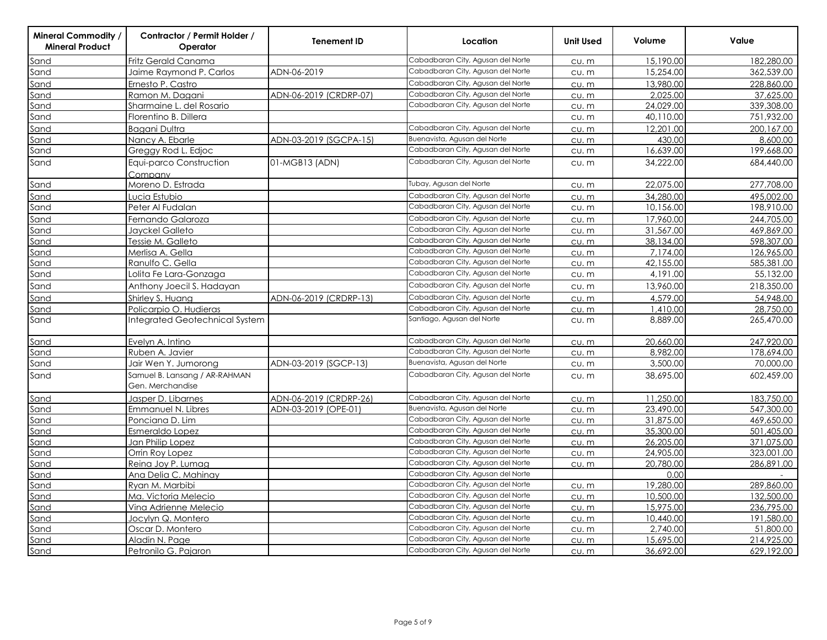| <b>Mineral Commodity</b><br><b>Mineral Product</b> | Contractor / Permit Holder /<br>Operator          | Tenement ID            | Location                          | <b>Unit Used</b> | Volume    | Value      |
|----------------------------------------------------|---------------------------------------------------|------------------------|-----------------------------------|------------------|-----------|------------|
| Sand                                               | Fritz Gerald Canama                               |                        | Cabadbaran City, Agusan del Norte | CU. m            | 15,190.00 | 182,280.00 |
| Sand                                               | Jaime Raymond P. Carlos                           | ADN-06-2019            | Cabadbaran City, Agusan del Norte | CU. m            | 15,254.00 | 362,539.00 |
| Sand                                               | Ernesto P. Castro                                 |                        | Cabadbaran City, Agusan del Norte | CU. m            | 13,980.00 | 228,860.00 |
| Sand                                               | Ramon M. Dagani                                   | ADN-06-2019 (CRDRP-07) | Cabadbaran City, Agusan del Norte | CU. m            | 2,025.00  | 37,625.00  |
| Sand                                               | Sharmaine L. del Rosario                          |                        | Cabadbaran City, Agusan del Norte | CU. m            | 24,029.00 | 339,308.00 |
| Sand                                               | Florentino B. Dillera                             |                        |                                   | CU. m            | 40,110.00 | 751,932.00 |
| Sand                                               | <b>Baaani Dultra</b>                              |                        | Cabadbaran City, Agusan del Norte | CU. m            | 12,201.00 | 200,167.00 |
| Sand                                               | Nancy A. Ebarle                                   | ADN-03-2019 (SGCPA-15) | Buenavista, Agusan del Norte      | CU. m            | 430.00    | 8,600.00   |
| Sand                                               | Greggy Rod L. Edjoc                               |                        | Cabadbaran City, Agusan del Norte | CU. m            | 16,639.00 | 199,668.00 |
| Sand                                               | Equi-parco Construction<br>Company                | 01-MGB13 (ADN)         | Cabadbaran City, Agusan del Norte | CU. m            | 34,222.00 | 684,440.00 |
| Sand                                               | Moreno D. Estrada                                 |                        | Tubay, Agusan del Norte           | CU. m            | 22,075.00 | 277,708.00 |
| Sand                                               | Lucia Estubio                                     |                        | Cabadbaran City, Agusan del Norte | CU. m            | 34,280.00 | 495,002.00 |
| Sand                                               | Peter Al Fudalan                                  |                        | Cabadbaran City, Agusan del Norte | CU. m            | 10,156.00 | 198,910.00 |
| Sand                                               | Fernando Galaroza                                 |                        | Cabadbaran City, Agusan del Norte | CU. m            | 17,960.00 | 244,705.00 |
| Sand                                               | Jayckel Galleto                                   |                        | Cabadbaran City, Agusan del Norte | CU. m            | 31,567.00 | 469,869.00 |
| Sand                                               | Tessie M. Galleto                                 |                        | Cabadbaran City, Agusan del Norte | CU. m            | 38,134.00 | 598,307.00 |
| Sand                                               | Merlisa A. Gella                                  |                        | Cabadbaran City, Agusan del Norte | CU. m            | 7,174.00  | 126,965.00 |
| Sand                                               | Ranulfo C. Gella                                  |                        | Cabadbaran City, Agusan del Norte | CU. m            | 42,155.00 | 585,381.00 |
| Sand                                               | Lolita Fe Lara-Gonzaga                            |                        | Cabadbaran City, Agusan del Norte | $CU.$ $m$        | 4,191.00  | 55,132.00  |
| Sand                                               | Anthony Joecil S. Hadayan                         |                        | Cabadbaran City, Agusan del Norte | CU. m            | 13,960.00 | 218,350.00 |
| Sand                                               | Shirley S. Huang                                  | ADN-06-2019 (CRDRP-13) | Cabadbaran City, Agusan del Norte | CU. m            | 4,579.00  | 54,948.00  |
| Sand                                               | Policarpio O. Hudieras                            |                        | Cabadbaran City, Agusan del Norte | CU. m            | 1,410.00  | 28,750.00  |
| Sand                                               | Integrated Geotechnical System                    |                        | Santiago, Agusan del Norte        | CU. m            | 8,889.00  | 265,470.00 |
| Sand                                               | Evelyn A. Intino                                  |                        | Cabadbaran City, Agusan del Norte | CU. m            | 20,660.00 | 247,920.00 |
| Sand                                               | Ruben A. Javier                                   |                        | Cabadbaran City, Agusan del Norte | CU. m            | 8.982.00  | 178,694.00 |
| Sand                                               | Jair Wen Y. Jumorong                              | ADN-03-2019 (SGCP-13)  | Buenavista, Agusan del Norte      | CU. m            | 3,500.00  | 70,000.00  |
| Sand                                               | Samuel B. Lansang / AR-RAHMAN<br>Gen. Merchandise |                        | Cabadbaran City, Agusan del Norte | CU. m            | 38,695.00 | 602,459.00 |
| Sand                                               | Jasper D. Libarnes                                | ADN-06-2019 (CRDRP-26) | Cabadbaran City, Agusan del Norte | CU. m            | 11,250.00 | 183,750.00 |
| Sand                                               | Emmanuel N. Libres                                | ADN-03-2019 (OPE-01)   | Buenavista, Agusan del Norte      | CU. m            | 23,490.00 | 547,300.00 |
| Sand                                               | Ponciana D. Lim                                   |                        | Cabadbaran City, Agusan del Norte | CU. m            | 31,875.00 | 469,650.00 |
| Sand                                               | Esmeraldo Lopez                                   |                        | Cabadbaran City, Agusan del Norte | CU. m            | 35,300.00 | 501,405.00 |
| Sand                                               | Jan Philip Lopez                                  |                        | Cabadbaran City, Agusan del Norte | CU. m            | 26,205.00 | 371,075.00 |
| Sand                                               | Orrin Roy Lopez                                   |                        | Cabadbaran City, Agusan del Norte | CU. m            | 24,905.00 | 323,001.00 |
| Sand                                               | Reina Joy P. Lumag                                |                        | Cabadbaran City, Agusan del Norte | CU. m            | 20,780.00 | 286,891.00 |
| Sand                                               | Ana Delia C. Mahinay                              |                        | Cabadbaran City, Agusan del Norte |                  | 0.00      |            |
| Sand                                               | Ryan M. Marbibi                                   |                        | Cabadbaran City, Agusan del Norte | CU. m            | 19,280.00 | 289,860.00 |
| Sand                                               | Ma. Victoria Melecio                              |                        | Cabadbaran City, Agusan del Norte | CU. m            | 10,500.00 | 132,500.00 |
| Sand                                               | Vina Adrienne Melecio                             |                        | Cabadbaran City, Agusan del Norte | cu.m             | 15,975.00 | 236,795.00 |
| Sand                                               | Jocylyn Q. Montero                                |                        | Cabadbaran City, Agusan del Norte | CU. m            | 10,440.00 | 191,580.00 |
| Sand                                               | Oscar D. Montero                                  |                        | Cabadbaran City, Agusan del Norte | CU. m            | 2,740.00  | 51,800.00  |
| Sand                                               | Aladin N. Page                                    |                        | Cabadbaran City, Agusan del Norte | CU. m            | 15,695.00 | 214,925.00 |
| Sand                                               | Petronilo G. Pajaron                              |                        | Cabadbaran City, Agusan del Norte | CU. m            | 36,692.00 | 629,192.00 |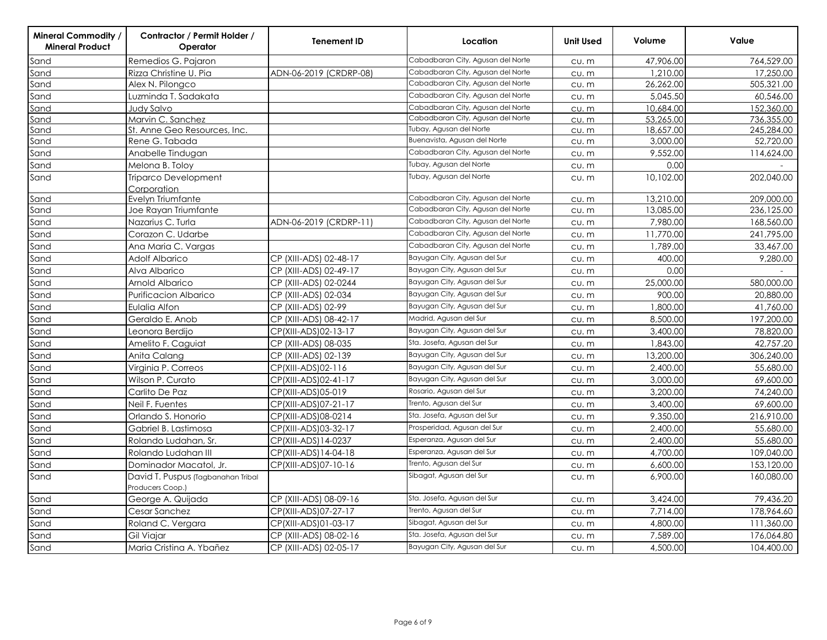| Mineral Commodity<br><b>Mineral Product</b> | Contractor / Permit Holder /<br>Operator               | <b>Tenement ID</b>     | Location                          | <b>Unit Used</b> | Volume    | Value      |
|---------------------------------------------|--------------------------------------------------------|------------------------|-----------------------------------|------------------|-----------|------------|
| Sand                                        | Remedios G. Pajaron                                    |                        | Cabadbaran City, Agusan del Norte | $CU.$ $m$        | 47,906.00 | 764,529.00 |
| Sand                                        | Rizza Christine U. Pia                                 | ADN-06-2019 (CRDRP-08) | Cabadbaran City, Agusan del Norte | CU. m            | 1,210.00  | 17,250.00  |
| Sand                                        | Alex N. Pilongco                                       |                        | Cabadbaran City, Agusan del Norte | CU. m            | 26,262.00 | 505,321.00 |
| Sand                                        | Luzminda T. Sadakata                                   |                        | Cabadbaran City, Agusan del Norte | $CU.$ $m$        | 5,045.50  | 60,546.00  |
| Sand                                        | Judy Salvo                                             |                        | Cabadbaran City, Agusan del Norte | cu.m             | 10,684.00 | 152,360.00 |
| Sand                                        | Marvin C. Sanchez                                      |                        | Cabadbaran City, Agusan del Norte | CU. m            | 53,265.00 | 736,355.00 |
| Sand                                        | St. Anne Geo Resources, Inc                            |                        | Tubay, Agusan del Norte           | CU. m            | 18,657.00 | 245,284.00 |
| Sand                                        | Rene G. Tabada                                         |                        | Buenavista, Agusan del Norte      | $CU.$ $m$        | 3,000.00  | 52,720.00  |
| Sand                                        | Anabelle Tindugan                                      |                        | Cabadbaran City, Agusan del Norte | $CU.$ $m$        | 9,552.00  | 114,624.00 |
| Sand                                        | Melona B. Toloy                                        |                        | Tubay, Agusan del Norte           | CU. m            | 0.00      |            |
| Sand                                        | <b>Triparco Development</b><br>Corporation             |                        | Tubay, Agusan del Norte           | CU. m            | 10,102.00 | 202,040.00 |
| Sand                                        | Evelyn Triumfante                                      |                        | Cabadbaran City, Agusan del Norte | CU. m            | 13,210.00 | 209,000.00 |
| Sand                                        | Joe Rayan Triumfante                                   |                        | Cabadbaran City, Agusan del Norte | $CU.$ $m$        | 13,085.00 | 236,125.00 |
| Sand                                        | Nazarius C. Turla                                      | ADN-06-2019 (CRDRP-11) | Cabadbaran City, Agusan del Norte | CU. m            | 7,980.00  | 168,560.00 |
| Sand                                        | Corazon C. Udarbe                                      |                        | Cabadbaran City, Agusan del Norte | CU. m            | 11,770.00 | 241,795.00 |
| Sand                                        | Ana Maria C. Vargas                                    |                        | Cabadbaran City, Agusan del Norte | CU. m            | 1,789.00  | 33,467.00  |
| Sand                                        | Adolf Albarico                                         | CP (XIII-ADS) 02-48-17 | Bayugan City, Agusan del Sur      | CU. m            | 400.00    | 9,280.00   |
| Sand                                        | Alva Albarico                                          | CP (XIII-ADS) 02-49-17 | Bayugan City, Agusan del Sur      | CU. m            | 0.00      |            |
| Sand                                        | Arnold Albarico                                        | CP (XIII-ADS) 02-0244  | Bayugan City, Agusan del Sur      | CU. m            | 25,000.00 | 580,000.00 |
| Sand                                        | <b>Purificacion Albarico</b>                           | CP (XIII-ADS) 02-034   | Bayugan City, Agusan del Sur      | CU. m            | 900.00    | 20,880.00  |
| Sand                                        | Eulalia Alfon                                          | CP (XIII-ADS) 02-99    | Bayugan City, Agusan del Sur      | CU. m            | 1,800.00  | 41,760.00  |
| Sand                                        | Geraldo E. Anob                                        | CP (XIII-ADS) 08-42-17 | Madrid, Agusan del Sur            | CU. m            | 8,500.00  | 197,200.00 |
| Sand                                        | Leonora Berdijo                                        | CP(XIII-ADS)02-13-17   | Bayugan City, Agusan del Sur      | CU. m            | 3,400.00  | 78,820.00  |
| Sand                                        | Amelito F. Caguiat                                     | CP (XIII-ADS) 08-035   | Sta. Josefa, Agusan del Sur       | $CU.$ $m$        | 1,843.00  | 42,757.20  |
| Sand                                        | Anita Calang                                           | CP (XIII-ADS) 02-139   | Bayugan City, Agusan del Sur      | $CU.$ $m$        | 13,200.00 | 306,240.00 |
| Sand                                        | Virginia P. Correos                                    | CP(XIII-ADS)02-116     | Bayugan City, Agusan del Sur      | CU. m            | 2,400.00  | 55,680.00  |
| Sand                                        | Wilson P. Curato                                       | CP(XIII-ADS)02-41-17   | Bayugan City, Agusan del Sur      | $CU.$ $m$        | 3,000.00  | 69,600.00  |
| Sand                                        | Carlito De Paz                                         | CP(XIII-ADS)05-019     | Rosario, Agusan del Sur           | CU. m            | 3,200.00  | 74,240,00  |
| Sand                                        | Neil F. Fuentes                                        | CP(XIII-ADS)07-21-17   | Trento, Agusan del Sur            | CU. m            | 3,400.00  | 69,600.00  |
| Sand                                        | Orlando S. Honorio                                     | CP(XIII-ADS)08-0214    | Sta. Josefa, Agusan del Sur       | CU. m            | 9,350.00  | 216,910.00 |
| Sand                                        | Gabriel B. Lastimosa                                   | CP(XIII-ADS)03-32-17   | Prosperidad, Agusan del Sur       | CU. m            | 2,400.00  | 55,680.00  |
| Sand                                        | Rolando Ludahan, Sr.                                   | CP(XIII-ADS)14-0237    | Esperanza, Agusan del Sur         | CU. m            | 2,400.00  | 55,680.00  |
| Sand                                        | Rolando Ludahan III                                    | CP(XIII-ADS)14-04-18   | Esperanza, Agusan del Sur         | CU. m            | 4,700.00  | 109,040.00 |
| Sand                                        | Dominador Macatol, Jr.                                 | CP(XIII-ADS)07-10-16   | Trento, Agusan del Sur            | CU. m            | 6,600.00  | 153,120.00 |
| Sand                                        | David T. Puspus (Tagbanahan Tribal<br>Producers Coop.) |                        | Sibagat, Agusan del Sur           | CU. m            | 6,900.00  | 160,080.00 |
| Sand                                        | George A. Quijada                                      | CP (XIII-ADS) 08-09-16 | Sta. Josefa, Agusan del Sur       | CU. m            | 3,424.00  | 79,436.20  |
| Sand                                        | Cesar Sanchez                                          | CP(XIII-ADS)07-27-17   | Trento, Agusan del Sur            | CU. m            | 7,714.00  | 178,964.60 |
| Sand                                        | Roland C. Vergara                                      | CP(XIII-ADS)01-03-17   | Sibagat, Agusan del Sur           | CU. m            | 4,800.00  | 111,360.00 |
| Sand                                        | Gil Viajar                                             | CP (XIII-ADS) 08-02-16 | Sta. Josefa, Agusan del Sur       | $CU.$ $m$        | 7,589.00  | 176,064.80 |
| Sand                                        | Maria Cristina A. Ybañez                               | CP (XIII-ADS) 02-05-17 | Bayugan City, Agusan del Sur      | CU. m            | 4,500.00  | 104,400.00 |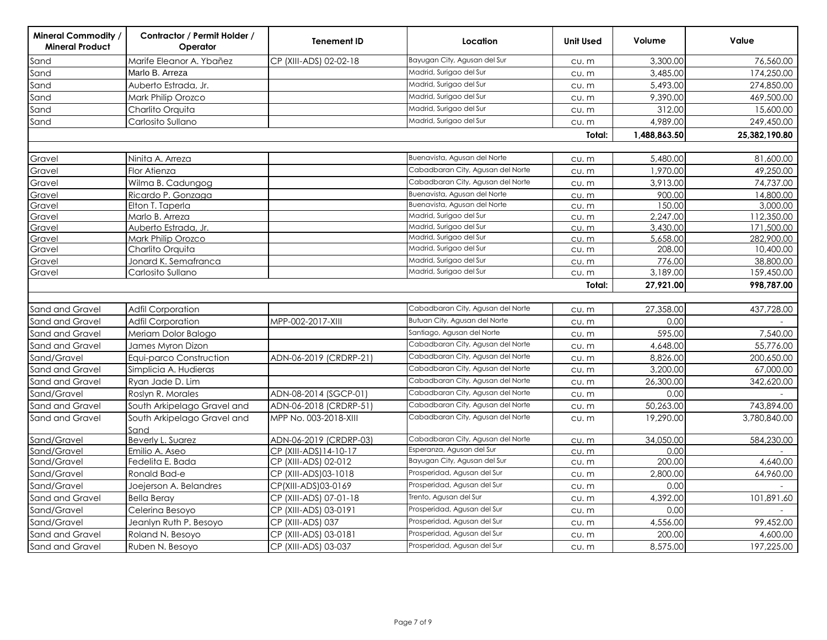| <b>Mineral Commodity /</b><br><b>Mineral Product</b> | Contractor / Permit Holder /<br>Operator | <b>Tenement ID</b>     | Location                          | <b>Unit Used</b> | Volume       | Value         |
|------------------------------------------------------|------------------------------------------|------------------------|-----------------------------------|------------------|--------------|---------------|
| Sand                                                 | Marife Eleanor A. Ybañez                 | CP (XIII-ADS) 02-02-18 | Bayugan City, Agusan del Sur      | CU. m            | 3,300.00     | 76,560.00     |
| Sand                                                 | Marlo B. Arreza                          |                        | Madrid, Surigao del Sur           | CU. m            | 3,485.00     | 174,250.00    |
| Sand                                                 | Auberto Estrada, Jr.                     |                        | Madrid, Surigao del Sur           | CU. m            | 5,493.00     | 274,850.00    |
| Sand                                                 | Mark Philip Orozco                       |                        | Madrid, Surigao del Sur           | CU. m            | 9,390.00     | 469,500.00    |
| Sand                                                 | Charlito Orquita                         |                        | Madrid, Surigao del Sur           | CU. M            | 312.00       | 15,600.00     |
| Sand                                                 | Carlosito Sullano                        |                        | Madrid, Surigao del Sur           | CU. m            | 4,989.00     | 249,450.00    |
|                                                      |                                          |                        |                                   | Total:           | 1,488,863.50 | 25,382,190.80 |
|                                                      |                                          |                        |                                   |                  |              |               |
| Gravel                                               | Ninita A. Arreza                         |                        | Buenavista, Agusan del Norte      | CU. M            | 5,480.00     | 81,600.00     |
| Gravel                                               | Flor Atienza                             |                        | Cabadbaran City, Agusan del Norte | CU. m            | 1,970.00     | 49,250.00     |
| Gravel                                               | Wilma B. Cadungog                        |                        | Cabadbaran City, Agusan del Norte | CU. m            | 3,913.00     | 74,737.00     |
| Gravel                                               | Ricardo P. Gonzaga                       |                        | Buenavista, Agusan del Norte      | CU. M            | 900.00       | 14,800.00     |
| Gravel                                               | Elton T. Taperla                         |                        | Buenavista, Agusan del Norte      | CU. m            | 150.00       | 3,000.00      |
| Gravel                                               | Marlo B. Arreza                          |                        | Madrid, Surigao del Sur           | CU. M            | 2,247.00     | 112,350.00    |
| Gravel                                               | Auberto Estrada, Jr.                     |                        | Madrid, Surigao del Sur           | cu.m             | 3,430.00     | 171,500.00    |
| Gravel                                               | Mark Philip Orozco                       |                        | Madrid, Surigao del Sur           | CU. m            | 5,658.00     | 282,900.00    |
| Gravel                                               | Charlito Orquita                         |                        | Madrid, Surigao del Sur           | CU. M            | 208.00       | 10,400.00     |
| Gravel                                               | Jonard K. Semafranca                     |                        | Madrid, Surigao del Sur           | CU. M            | 776.00       | 38,800.00     |
| Gravel                                               | Carlosito Sullano                        |                        | Madrid, Surigao del Sur           | CU. m            | 3,189.00     | 159,450.00    |
|                                                      |                                          |                        |                                   | Total:           | 27,921.00    | 998,787.00    |
|                                                      |                                          |                        |                                   |                  |              |               |
| <b>Sand and Gravel</b>                               | <b>Adfil Corporation</b>                 |                        | Cabadbaran City, Agusan del Norte | CU. m            | 27,358.00    | 437,728.00    |
| Sand and Gravel                                      | Adfil Corporation                        | MPP-002-2017-XIII      | Butuan City, Agusan del Norte     | CU.M             | 0.00         |               |
| Sand and Gravel                                      | Meriam Dolor Balogo                      |                        | Santiago, Agusan del Norte        | CU. m            | 595.00       | 7,540.00      |
| Sand and Gravel                                      | James Myron Dizon                        |                        | Cabadbaran City, Agusan del Norte | CU. M            | 4,648.00     | 55,776.00     |
| Sand/Gravel                                          | Equi-parco Construction                  | ADN-06-2019 (CRDRP-21) | Cabadbaran City, Agusan del Norte | CU. M            | 8,826.00     | 200,650.00    |
| Sand and Gravel                                      | Simplicia A. Hudieras                    |                        | Cabadbaran City, Agusan del Norte | CU. m            | 3,200.00     | 67,000.00     |
| Sand and Gravel                                      | Ryan Jade D. Lim                         |                        | Cabadbaran City, Agusan del Norte | CU. m            | 26,300.00    | 342,620.00    |
| Sand/Gravel                                          | Roslyn R. Morales                        | ADN-08-2014 (SGCP-01)  | Cabadbaran City, Agusan del Norte | CU. m            | 0.00         |               |
| Sand and Gravel                                      | South Arkipelago Gravel and              | ADN-06-2018 (CRDRP-51) | Cabadbaran City, Agusan del Norte | CU. M            | 50,263.00    | 743,894.00    |
| Sand and Gravel                                      | South Arkipelago Gravel and<br>Sand      | MPP No. 003-2018-XIII  | Cabadbaran City, Agusan del Norte | CU. m            | 19,290.00    | 3,780,840.00  |
| Sand/Gravel                                          | Beverly L. Suarez                        | ADN-06-2019 (CRDRP-03) | Cabadbaran City, Agusan del Norte | CU. m            | 34,050.00    | 584,230.00    |
| Sand/Gravel                                          | Emilio A. Aseo                           | CP (XIII-ADS)14-10-17  | Esperanza, Agusan del Sur         | CU. M            | 0.00         |               |
| Sand/Gravel                                          | Fedelita E. Bada                         | CP (XIII-ADS) 02-012   | Bayugan City, Agusan del Sur      | CU. M            | 200.00       | 4,640.00      |
| Sand/Gravel                                          | Ronald Bad-e                             | CP (XIII-ADS)03-1018   | Prosperidad, Agusan del Sur       | CU. m            | 2,800.00     | 64,960.00     |
| Sand/Gravel                                          | Joejerson A. Belandres                   | CP(XIII-ADS)03-0169    | Prosperidad, Agusan del Sur       | cu.m             | 0.00         |               |
| Sand and Gravel                                      | <b>Bella Beray</b>                       | CP (XIII-ADS) 07-01-18 | Trento, Agusan del Sur            | CU. M            | 4,392.00     | 101,891.60    |
| Sand/Gravel                                          | Celerina Besoyo                          | CP (XIII-ADS) 03-0191  | Prosperidad, Agusan del Sur       | CU. m            | 0.00         |               |
| Sand/Gravel                                          | Jeanlyn Ruth P. Besoyo                   | CP (XIII-ADS) 037      | Prosperidad, Agusan del Sur       | CU. m            | 4,556.00     | 99,452.00     |
| Sand and Gravel                                      | Roland N. Besoyo                         | CP (XIII-ADS) 03-0181  | Prosperidad, Agusan del Sur       | CU. m            | 200.00       | 4,600.00      |
| <b>Sand and Gravel</b>                               | Ruben N. Besoyo                          | CP (XIII-ADS) 03-037   | Prosperidad, Agusan del Sur       | CU. M            | 8,575.00     | 197,225.00    |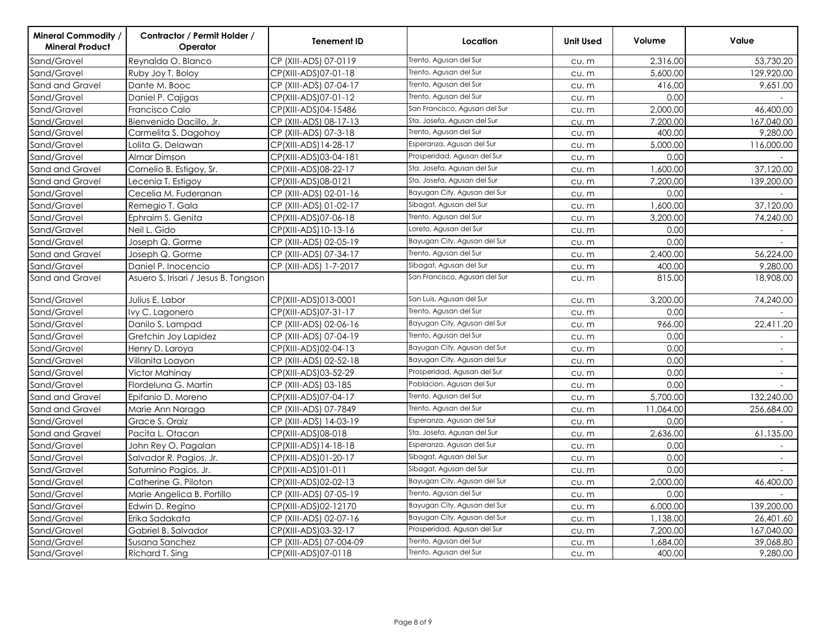| <b>Mineral Commodity /</b><br><b>Mineral Product</b> | Contractor / Permit Holder /<br>Operator | <b>Tenement ID</b>      | Location                      | <b>Unit Used</b> | Volume    | Value                    |
|------------------------------------------------------|------------------------------------------|-------------------------|-------------------------------|------------------|-----------|--------------------------|
| Sand/Gravel                                          | Reynalda O. Blanco                       | CP (XIII-ADS) 07-0119   | Trento, Agusan del Sur        | CU. m            | 2,316.00  | 53,730.20                |
| Sand/Gravel                                          | Ruby Joy T. Boloy                        | CP(XIII-ADS)07-01-18    | Trento, Agusan del Sur        | CU. m            | 5,600.00  | 129,920.00               |
| Sand and Gravel                                      | Dante M. Booc                            | CP (XIII-ADS) 07-04-17  | Trento, Agusan del Sur        | CU. m            | 416.00    | 9,651.00                 |
| Sand/Gravel                                          | Daniel P. Cajigas                        | CP(XIII-ADS)07-01-12    | Trento, Agusan del Sur        | CU. m            | 0.00      |                          |
| Sand/Gravel                                          | Francisco Calo                           | CP(XIII-ADS)04-15486    | San Francisco, Agusan del Sur | CU. m            | 2,000.00  | 46,400.00                |
| Sand/Gravel                                          | Bienvenido Dacillo, Jr.                  | CP (XIII-ADS) 08-17-13  | Sta. Josefa, Agusan del Sur   | CU. m            | 7.200.00  | 167,040.00               |
| Sand/Gravel                                          | Carmelita S. Dagohoy                     | CP (XIII-ADS) 07-3-18   | Trento, Agusan del Sur        | CU. m            | 400.00    | 9,280.00                 |
| Sand/Gravel                                          | Lolita G. Delawan                        | CP(XIII-ADS)14-28-17    | Esperanza, Agusan del Sur     | CU. m            | 5,000.00  | 116,000.00               |
| Sand/Gravel                                          | Almar Dimson                             | CP(XIII-ADS)03-04-181   | Prosperidad, Agusan del Sur   | CU. m            | 0.00      |                          |
| Sand and Gravel                                      | Cornelio B. Estigoy, Sr.                 | CP(XIII-ADS)08-22-17    | Sta. Josefa, Agusan del Sur   | CU. m            | 1,600.00  | 37,120.00                |
| Sand and Gravel                                      | Lecenia T. Estigoy                       | CP(XIII-ADS)08-0121     | Sta. Josefa, Agusan del Sur   | CU. m            | 7,200.00  | 139,200.00               |
| Sand/Gravel                                          | Cecelia M. Fuderanan                     | CP (XIII-ADS) 02-01-16  | Bayugan City, Agusan del Sur  | CU. m            | 0.00      |                          |
| Sand/Gravel                                          | Remegio T. Gala                          | CP (XIII-ADS) 01-02-17  | Sibagat, Agusan del Sur       | CU. m            | 1,600.00  | 37,120.00                |
| Sand/Gravel                                          | Ephraim S. Genita                        | CP(XIII-ADS)07-06-18    | Trento, Agusan del Sur        | CU. m            | 3,200.00  | 74,240.00                |
| Sand/Gravel                                          | Neil L. Gido                             | CP(XIII-ADS)10-13-16    | Loreto, Agusan del Sur        | CU. m            | 0.00      |                          |
| Sand/Gravel                                          | Joseph Q. Gorme                          | CP (XIII-ADS) 02-05-19  | Bayugan City, Agusan del Sur  | CU. m            | 0.00      |                          |
| Sand and Gravel                                      | Joseph Q. Gorme                          | CP (XIII-ADS) 07-34-17  | Trento, Agusan del Sur        | CU. m            | 2,400.00  | 56,224.00                |
| Sand/Gravel                                          | Daniel P. Inocencio                      | CP (XIII-ADS) 1-7-2017  | Sibagat, Agusan del Sur       | CU. m            | 400.00    | 9,280.00                 |
| Sand and Gravel                                      | Asuero S. Irisari / Jesus B. Tongson     |                         | San Francisco, Agusan del Sur | CU. m            | 815.00    | 18,908.00                |
| Sand/Gravel                                          | Julius E. Labor                          | CP(XIII-ADS)013-0001    | San Luis, Agusan del Sur      | CU. m            | 3,200.00  | 74,240.00                |
| Sand/Gravel                                          | Ivy C. Lagonero                          | CP(XIII-ADS)07-31-17    | Trento, Agusan del Sur        | CU. m            | 0.00      |                          |
| Sand/Gravel                                          | Danilo S. Lampad                         | CP (XIII-ADS) 02-06-16  | Bayugan City, Agusan del Sur  | CU. m            | 966.00    | 22,411.20                |
| Sand/Gravel                                          | Gretchin Joy Lapidez                     | CP (XIII-ADS) 07-04-19  | Trento, Agusan del Sur        | CU. m            | 0.00      | $\sim$                   |
| Sand/Gravel                                          | Henry D. Laroya                          | CP(XIII-ADS)02-04-13    | Bayugan City, Agusan del Sur  | CU. m            | 0.00      | $\overline{\phantom{a}}$ |
| Sand/Gravel                                          | Villanita Loayon                         | CP (XIII-ADS) 02-52-18  | Bayugan City, Agusan del Sur  | CU. m            | 0.00      | $\sim$                   |
| Sand/Gravel                                          | Victor Mahinay                           | CP(XIII-ADS)03-52-29    | Prosperidad, Agusan del Sur   | CU. m            | 0.00      | $\overline{\phantom{a}}$ |
| Sand/Gravel                                          | Flordeluna G. Martin                     | CP (XIII-ADS) 03-185    | Poblacion, Agusan del Sur     | CU. m            | 0.00      |                          |
| Sand and Gravel                                      | Epifanio D. Moreno                       | CP(XIII-ADS)07-04-17    | Trento, Agusan del Sur        | CU. m            | 5,700.00  | 132,240.00               |
| Sand and Gravel                                      | Marie Ann Naraga                         | CP (XIII-ADS) 07-7849   | Trento, Agusan del Sur        | CU. m            | 11,064.00 | 256,684.00               |
| Sand/Gravel                                          | Grace S. Oraiz                           | CP (XIII-ADS) 14-03-19  | Esperanza, Agusan del Sur     | CU. m            | 0.00      |                          |
| Sand and Gravel                                      | Pacita L. Otacan                         | CP(XIII-ADS)08-018      | Sta. Josefa, Agusan del Sur   | CU. m            | 2,636.00  | 61,135.00                |
| Sand/Gravel                                          | John Rey O. Pagalan                      | CP(XIII-ADS)14-18-18    | Esperanza, Agusan del Sur     | CU. m            | 0.00      |                          |
| Sand/Gravel                                          | Salvador R. Pagios, Jr.                  | CP(XIII-ADS)01-20-17    | Sibagat, Agusan del Sur       | CU. m            | 0.00      | $\sim$                   |
| Sand/Gravel                                          | Saturnino Pagios, Jr.                    | CP(XIII-ADS)01-011      | Sibagat, Agusan del Sur       | CU. m            | 0.00      |                          |
| Sand/Gravel                                          | Catherine G. Piloton                     | CP(XIII-ADS)02-02-13    | Bayugan City, Agusan del Sur  | CU. m            | 2,000.00  | 46,400.00                |
| Sand/Gravel                                          | Marie Angelica B. Portillo               | CP (XIII-ADS) 07-05-19  | Trento, Agusan del Sur        | CU. m            | 0.00      |                          |
| Sand/Gravel                                          | Edwin D. Regino                          | CP(XIII-ADS)02-12170    | Bayugan City, Agusan del Sur  | CU. m            | 6,000.00  | 139,200.00               |
| Sand/Gravel                                          | Erika Sadakata                           | CP (XIII-ADS) 02-07-16  | Bayugan City, Agusan del Sur  | CU. m            | 1,138.00  | 26,401.60                |
| Sand/Gravel                                          | Gabriel B. Salvador                      | CP(XIII-ADS)03-32-17    | Prosperidad, Agusan del Sur   | CU. m            | 7,200.00  | 167,040.00               |
| Sand/Gravel                                          | Susana Sanchez                           | CP (XIII-ADS) 07-004-09 | Trento, Agusan del Sur        | CU. m            | 1,684.00  | 39,068.80                |
| Sand/Gravel                                          | Richard T. Sing                          | CP(XIII-ADS)07-0118     | Trento, Agusan del Sur        | cu.m             | 400.00    | 9,280.00                 |